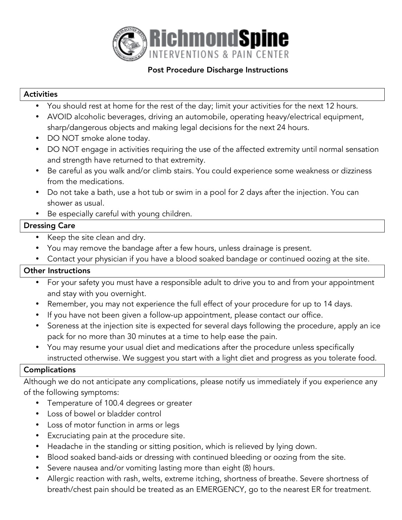

## Post Procedure Discharge Instructions

#### Activities

- You should rest at home for the rest of the day; limit your activities for the next 12 hours.
- AVOID alcoholic beverages, driving an automobile, operating heavy/electrical equipment, sharp/dangerous objects and making legal decisions for the next 24 hours.
- DO NOT smoke alone today.
- DO NOT engage in activities requiring the use of the affected extremity until normal sensation and strength have returned to that extremity.
- Be careful as you walk and/or climb stairs. You could experience some weakness or dizziness from the medications.
- Do not take a bath, use a hot tub or swim in a pool for 2 days after the injection. You can shower as usual.
- Be especially careful with young children.

## Dressing Care

- Keep the site clean and dry.
- You may remove the bandage after a few hours, unless drainage is present.
- Contact your physician if you have a blood soaked bandage or continued oozing at the site.

# Other Instructions

- For your safety you must have a responsible adult to drive you to and from your appointment and stay with you overnight.
- Remember, you may not experience the full effect of your procedure for up to 14 days.
- If you have not been given a follow-up appointment, please contact our office.
- Soreness at the injection site is expected for several days following the procedure, apply an ice pack for no more than 30 minutes at a time to help ease the pain.
- You may resume your usual diet and medications after the procedure unless specifically instructed otherwise. We suggest you start with a light diet and progress as you tolerate food.

# Complications

Although we do not anticipate any complications, please notify us immediately if you experience any of the following symptoms:

- Temperature of 100.4 degrees or greater
- Loss of bowel or bladder control
- Loss of motor function in arms or legs
- Excruciating pain at the procedure site.
- Headache in the standing or sitting position, which is relieved by lying down.
- Blood soaked band-aids or dressing with continued bleeding or oozing from the site.
- Severe nausea and/or vomiting lasting more than eight (8) hours.
- Allergic reaction with rash, welts, extreme itching, shortness of breathe. Severe shortness of breath/chest pain should be treated as an EMERGENCY, go to the nearest ER for treatment.